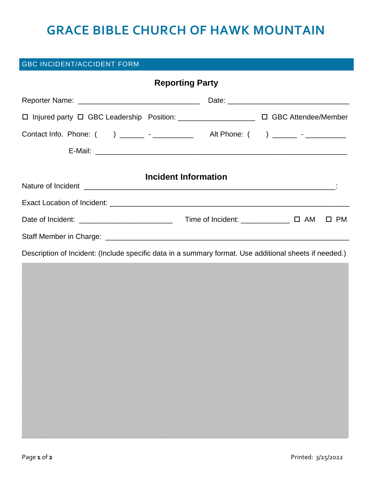## **GRACE BIBLE CHURCH OF HAWK MOUNTAIN**

## **GBC INCIDENT/ACCIDENT FORM**

|                                                                                                        | <b>Reporting Party</b> |  |  |
|--------------------------------------------------------------------------------------------------------|------------------------|--|--|
|                                                                                                        |                        |  |  |
| □ Injured party □ GBC Leadership Position: ______________________ □ GBC Attendee/Member                |                        |  |  |
| Contact Info. Phone: ( ) _______ - ____________ Alt Phone: ( ) ______ - ________                       |                        |  |  |
|                                                                                                        |                        |  |  |
|                                                                                                        | Incident Information   |  |  |
|                                                                                                        |                        |  |  |
|                                                                                                        |                        |  |  |
|                                                                                                        |                        |  |  |
| Description of Incident: (Include specific data in a summary format. Use additional sheets if needed.) |                        |  |  |